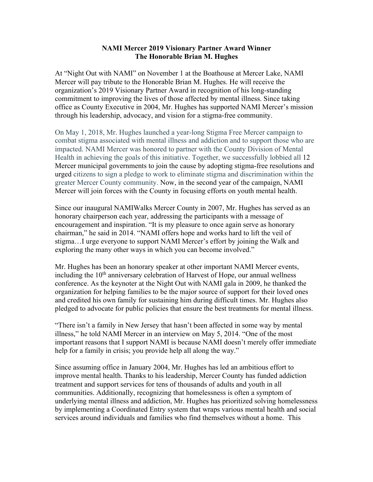## **NAMI Mercer 2019 Visionary Partner Award Winner The Honorable Brian M. Hughes**

At "Night Out with NAMI" on November 1 at the Boathouse at Mercer Lake, NAMI Mercer will pay tribute to the Honorable Brian M. Hughes. He will receive the organization's 2019 Visionary Partner Award in recognition of his long-standing commitment to improving the lives of those affected by mental illness. Since taking office as County Executive in 2004, Mr. Hughes has supported NAMI Mercer's mission through his leadership, advocacy, and vision for a stigma-free community.

On May 1, 2018, Mr. Hughes launched a year-long Stigma Free Mercer campaign to combat stigma associated with mental illness and addiction and to support those who are impacted. NAMI Mercer was honored to partner with the County Division of Mental Health in achieving the goals of this initiative. Together, we successfully lobbied all 12 Mercer municipal governments to join the cause by adopting stigma-free resolutions and urged citizens to sign a pledge to work to eliminate stigma and discrimination within the greater Mercer County community. Now, in the second year of the campaign, NAMI Mercer will join forces with the County in focusing efforts on youth mental health.

Since our inaugural NAMIWalks Mercer County in 2007, Mr. Hughes has served as an honorary chairperson each year, addressing the participants with a message of encouragement and inspiration. "It is my pleasure to once again serve as honorary chairman," he said in 2014. "NAMI offers hope and works hard to lift the veil of stigma…I urge everyone to support NAMI Mercer's effort by joining the Walk and exploring the many other ways in which you can become involved."

Mr. Hughes has been an honorary speaker at other important NAMI Mercer events, including the 10<sup>th</sup> anniversary celebration of Harvest of Hope, our annual wellness conference. As the keynoter at the Night Out with NAMI gala in 2009, he thanked the organization for helping families to be the major source of support for their loved ones and credited his own family for sustaining him during difficult times. Mr. Hughes also pledged to advocate for public policies that ensure the best treatments for mental illness.

"There isn't a family in New Jersey that hasn't been affected in some way by mental illness," he told NAMI Mercer in an interview on May 5, 2014. "One of the most important reasons that I support NAMI is because NAMI doesn't merely offer immediate help for a family in crisis; you provide help all along the way."

Since assuming office in January 2004, Mr. Hughes has led an ambitious effort to improve mental health. Thanks to his leadership, Mercer County has funded addiction treatment and support services for tens of thousands of adults and youth in all communities. Additionally, recognizing that homelessness is often a symptom of underlying mental illness and addiction, Mr. Hughes has prioritized solving homelessness by implementing a Coordinated Entry system that wraps various mental health and social services around individuals and families who find themselves without a home. This